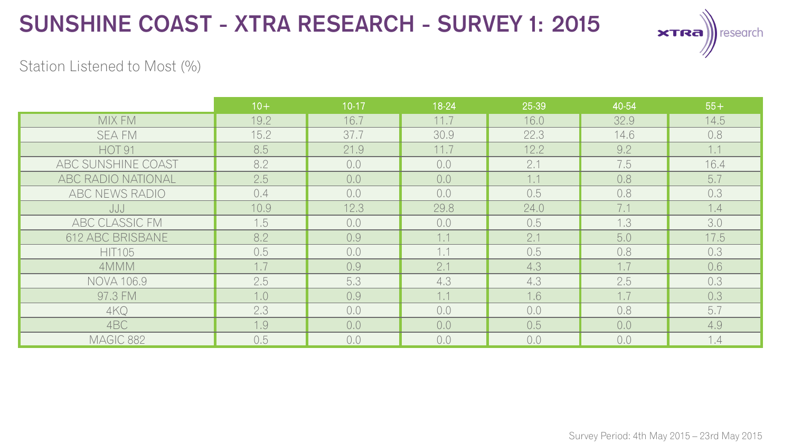

#### Station Listened to Most (%)

|                           | $10+$ | $10-17$ | 18-24 | 25-39 | 40-54 | $55+$ |
|---------------------------|-------|---------|-------|-------|-------|-------|
| MIX FM                    | 19.2  | 16.7    | 11.7  | 16.0  | 32.9  | 14.5  |
| <b>SEA FM</b>             | 15.2  | 37.7    | 30.9  | 22.3  | 14.6  | 0.8   |
| HOT <sub>91</sub>         | 8.5   | 21.9    | 11.7  | 12.2  | 9.2   | 1.1   |
| ABC SUNSHINE COAST        | 8.2   | 0,0     | 0,0   | 2.1   | 7.5   | 16.4  |
| <b>ABC RADIO NATIONAL</b> | 2.5   | 0,0     | 0,0   | 1.1   | 0,8   | 5.7   |
| ABC NEWS RADIO            | 0.4   | 0,0     | 0,0   | 0.5   | 0,8   | 0.3   |
| JJJ                       | 10.9  | 12.3    | 29.8  | 24.0  | 7.1   | 1.4   |
| ABC CLASSIC FM            | 1.5   | 0.0     | 0.0   | 0.5   | 1.3   | 3.0   |
| 612 ABC BRISBANE          | 8.2   | 0.9     | 1.1   | 2.1   | 5.0   | 17.5  |
| <b>HIT105</b>             | 0.5   | 0,0     | 1.1   | 0.5   | 0.8   | 0.3   |
| 4MMM                      | 1.7   | 0.9     | 2.1   | 4.3   | 1.7   | 0.6   |
| <b>NOVA 106.9</b>         | 2.5   | 5.3     | 4,3   | 4.3   | 2.5   | 0.3   |
| 97.3 FM                   | 1.0   | 0.9     | 1.1   | 1.6   | 1.7   | 0.3   |
| 4KQ                       | 2.3   | 0,0     | 0,0   | 0,0   | 0.8   | 5.7   |
| 4BC                       | 1.9   | 0.0     | 0,0   | 0.5   | 0.0   | 4.9   |
| MAGIC 882                 | 0.5   | 0.0     | 0,0   | 0,0   | 0.0   | 1.4   |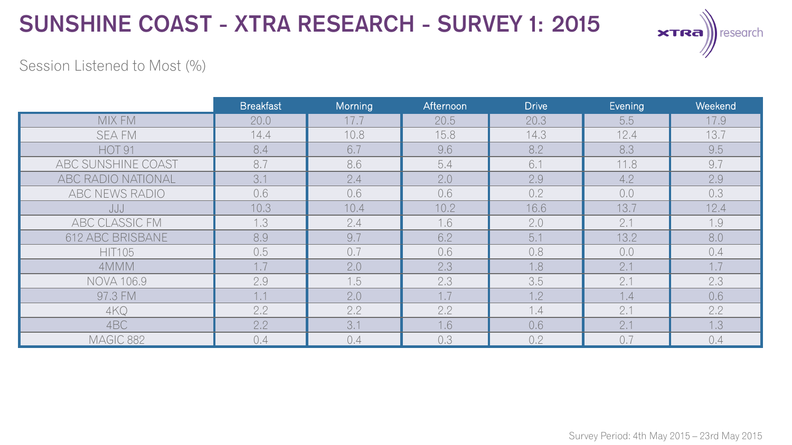

### Session Listened to Most (%)

|                    | <b>Breakfast</b> | Morning | Afternoon | <b>Drive</b> | Evening | Weekend |
|--------------------|------------------|---------|-----------|--------------|---------|---------|
| MIX FM             | 20.0             | 17.7    | 20.5      | 20.3         | 5.5     | 17.9    |
| <b>SEA FM</b>      | 14.4             | 10.8    | 15.8      | 14.3         | 12.4    | 13.7    |
| <b>HOT 91</b>      | 8.4              | 6.7     | 9.6       | 8.2          | 8.3     | 9.5     |
| ABC SUNSHINE COAST | 8.7              | 8.6     | 5.4       | 6.1          | 11.8    | 9.7     |
| ABC RADIO NATIONAL | 3.1              | 2.4     | 2.0       | 2.9          | 4.2     | 2.9     |
| ABC NEWS RADIO     | 0.6              | 0.6     | 0.6       | 0.2          | 0.0     | 0.3     |
| JJJ                | 10.3             | 10.4    | 10.2      | 16.6         | 13.7    | 12.4    |
| ABC CLASSIC FM     | 1.3              | 2.4     | 1.6       | 2.0          | 2.1     | 1.9     |
| 612 ABC BRISBANE   | 8.9              | 9.7     | 6.2       | 5.1          | 13.2    | 8.0     |
| <b>HIT105</b>      | 0.5              | 0.7     | 0.6       | 0.8          | 0,0     | 0.4     |
| 4MMM               | 1.7              | 2.0     | 2.3       | 1.8          | 2.1     | 1.7     |
| <b>NOVA 106.9</b>  | 2.9              | 1.5     | 2.3       | 3.5          | 2.1     | 2.3     |
| 97.3 FM            | 1.1              | 2.0     | 1.7       | 1.2          | 1.4     | 0.6     |
| 4KQ                | 2.2              | 2.2     | 2.2       | 1.4          | 2.1     | 2.2     |
| 4BC                | 2.2              | 3.1     | 1.6       | 0.6          | 2.1     | 1.3     |
| MAGIC 882          | 0.4              | 0.4     | 0.3       | 0.2          | 0.7     | 0.4     |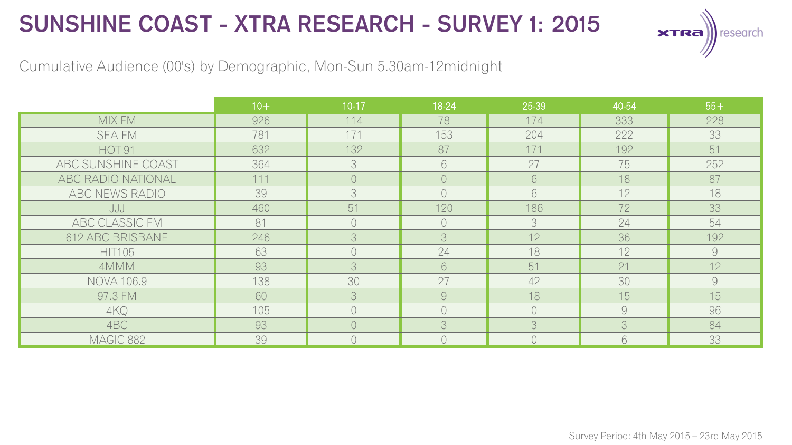

Cumulative Audience (00's) by Demographic, Mon-Sun 5.30am-12midnight

|                       | $10+$ | $10-17$    | 18-24          | 25-39      | 40-54          | $55+$         |
|-----------------------|-------|------------|----------------|------------|----------------|---------------|
| MIX FM                | 926   | 114        | 78             | 174        | 333            | 228           |
| <b>SEA FM</b>         | 781   | 171        | 153            | 204        | 222            | 33            |
| <b>HOT 91</b>         | 632   | 132        | 87             | 171        | 192            | 51            |
| ABC SUNSHINE COAST    | 364   | 3          | 6              | 27         | 75             | 252           |
| ABC RADIO NATIONAL    | 111   | $\bigcirc$ | $\overline{0}$ | 6          | 18             | 87            |
| ABC NEWS RADIO        | 39    | 3          | $\bigcirc$     | 6          | 12             | 18            |
| JJJ                   | 460   | 51         | 120            | 186        | 72             | 33            |
| <b>ABC CLASSIC FM</b> | 81    | $\bigcirc$ | $\bigcirc$     | 3          | 24             | 54            |
| 612 ABC BRISBANE      | 246   | 3          | 3              | 12         | 36             | 192           |
| <b>HIT105</b>         | 63    | $\bigcap$  | 24             | 18         | 12             | $\mathcal{Q}$ |
| 4MMM                  | 93    | 3          | 6              | 51         | 21             | 12            |
| <b>NOVA 106.9</b>     | 138   | 30         | 27             | 42         | 30             | 9             |
| 97.3 FM               | 60    | 3          | $\mathcal{G}$  | 18         | 15             | 15            |
| 4KQ                   | 105   | $\bigcirc$ | $\bigcirc$     | $\bigcirc$ | $\overline{9}$ | 96            |
| 4BC                   | 93    | $\bigcirc$ | 3              | 3          | 3              | 84            |
| MAGIC 882             | 39    | $\bigcap$  | $\bigcirc$     | $\bigcap$  | 6              | 33            |